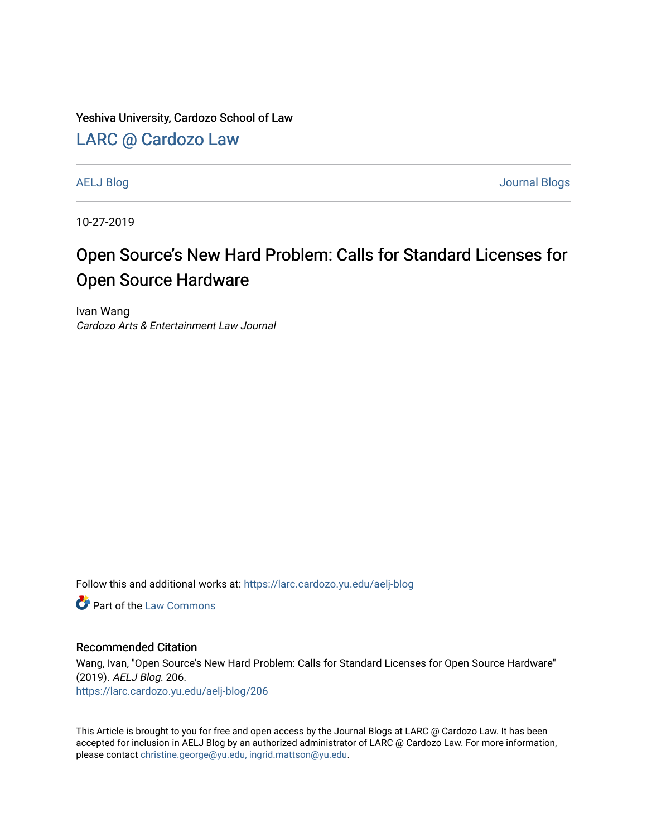Yeshiva University, Cardozo School of Law

[LARC @ Cardozo Law](https://larc.cardozo.yu.edu/)

[AELJ Blog](https://larc.cardozo.yu.edu/aelj-blog) [Journal Blogs](https://larc.cardozo.yu.edu/journal-blogs) 

10-27-2019

## Open Source's New Hard Problem: Calls for Standard Licenses for Open Source Hardware

Ivan Wang Cardozo Arts & Entertainment Law Journal

Follow this and additional works at: [https://larc.cardozo.yu.edu/aelj-blog](https://larc.cardozo.yu.edu/aelj-blog?utm_source=larc.cardozo.yu.edu%2Faelj-blog%2F206&utm_medium=PDF&utm_campaign=PDFCoverPages) 

**C** Part of the [Law Commons](http://network.bepress.com/hgg/discipline/578?utm_source=larc.cardozo.yu.edu%2Faelj-blog%2F206&utm_medium=PDF&utm_campaign=PDFCoverPages)

## Recommended Citation

Wang, Ivan, "Open Source's New Hard Problem: Calls for Standard Licenses for Open Source Hardware" (2019). AELJ Blog. 206. [https://larc.cardozo.yu.edu/aelj-blog/206](https://larc.cardozo.yu.edu/aelj-blog/206?utm_source=larc.cardozo.yu.edu%2Faelj-blog%2F206&utm_medium=PDF&utm_campaign=PDFCoverPages) 

This Article is brought to you for free and open access by the Journal Blogs at LARC @ Cardozo Law. It has been accepted for inclusion in AELJ Blog by an authorized administrator of LARC @ Cardozo Law. For more information, please contact [christine.george@yu.edu, ingrid.mattson@yu.edu.](mailto:christine.george@yu.edu,%20ingrid.mattson@yu.edu)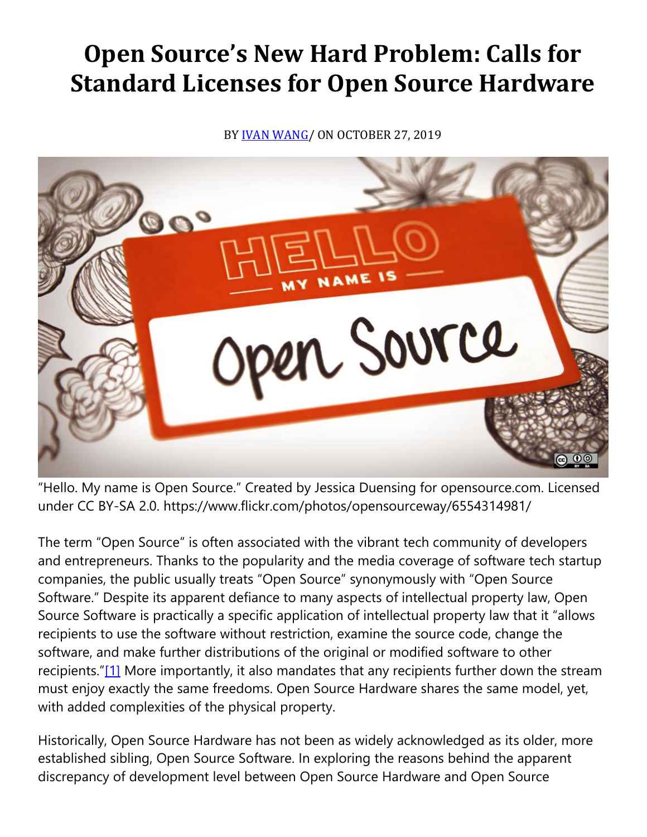## **Open Source's New Hard Problem: Calls for Standard Licenses for Open Source Hardware**

BY **IVAN WANG**/ ON OCTOBER 27, 2019



"Hello. My name is Open Source." Created by Jessica Duensing for opensource.com. Licensed under CC BY-SA 2.0. https://www.flickr.com/photos/opensourceway/6554314981/

The term "Open Source" is often associated with the vibrant tech community of developers and entrepreneurs. Thanks to the popularity and the media coverage of software tech startup companies, the public usually treats "Open Source" synonymously with "Open Source Software." Despite its apparent defiance to many aspects of intellectual property law, Open Source Software is practically a specific application of intellectual property law that it "allows recipients to use the software without restriction, examine the source code, change the software, and make further distributions of the original or modified software to other recipients."[\[1\]](https://cardozoaelj.com/2019/10/27/open-sources-new-hard-problem-calls-for-standard-licenses-for-open-source-hardware/#_ftn1) More importantly, it also mandates that any recipients further down the stream must enjoy exactly the same freedoms. Open Source Hardware shares the same model, yet, with added complexities of the physical property.

Historically, Open Source Hardware has not been as widely acknowledged as its older, more established sibling, Open Source Software. In exploring the reasons behind the apparent discrepancy of development level between Open Source Hardware and Open Source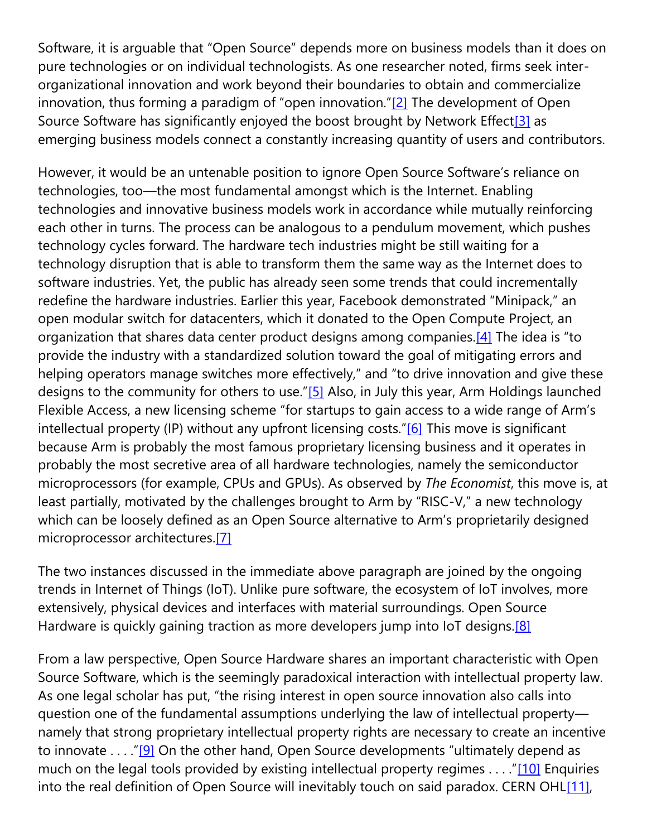Software, it is arguable that "Open Source" depends more on business models than it does on pure technologies or on individual technologists. As one researcher noted, firms seek interorganizational innovation and work beyond their boundaries to obtain and commercialize innovation, thus forming a paradigm of "open innovation." $[2]$  The development of Open Source Software has significantly enjoyed the boost brought by Network Effect<sup>[3]</sup> as emerging business models connect a constantly increasing quantity of users and contributors.

However, it would be an untenable position to ignore Open Source Software's reliance on technologies, too—the most fundamental amongst which is the Internet. Enabling technologies and innovative business models work in accordance while mutually reinforcing each other in turns. The process can be analogous to a pendulum movement, which pushes technology cycles forward. The hardware tech industries might be still waiting for a technology disruption that is able to transform them the same way as the Internet does to software industries. Yet, the public has already seen some trends that could incrementally redefine the hardware industries. Earlier this year, Facebook demonstrated "Minipack," an open modular switch for datacenters, which it donated to the Open Compute Project, an organization that shares data center product designs among companies[.\[4\]](https://cardozoaelj.com/2019/10/27/open-sources-new-hard-problem-calls-for-standard-licenses-for-open-source-hardware/#_ftn4) The idea is "to provide the industry with a standardized solution toward the goal of mitigating errors and helping operators manage switches more effectively," and "to drive innovation and give these designs to the community for others to use."[\[5\]](https://cardozoaelj.com/2019/10/27/open-sources-new-hard-problem-calls-for-standard-licenses-for-open-source-hardware/#_ftn5) Also, in July this year, Arm Holdings launched Flexible Access, a new licensing scheme "for startups to gain access to a wide range of Arm's intellectual property (IP) without any upfront licensing costs."[\[6\]](https://cardozoaelj.com/2019/10/27/open-sources-new-hard-problem-calls-for-standard-licenses-for-open-source-hardware/#_ftn6) This move is significant because Arm is probably the most famous proprietary licensing business and it operates in probably the most secretive area of all hardware technologies, namely the semiconductor microprocessors (for example, CPUs and GPUs). As observed by *The Economist*, this move is, at least partially, motivated by the challenges brought to Arm by "RISC-V," a new technology which can be loosely defined as an Open Source alternative to Arm's proprietarily designed microprocessor architectures[.\[7\]](https://cardozoaelj.com/2019/10/27/open-sources-new-hard-problem-calls-for-standard-licenses-for-open-source-hardware/#_ftn7)

The two instances discussed in the immediate above paragraph are joined by the ongoing trends in Internet of Things (IoT). Unlike pure software, the ecosystem of IoT involves, more extensively, physical devices and interfaces with material surroundings. Open Source Hardware is quickly gaining traction as more developers jump into IoT designs.<sup>[8]</sup>

From a law perspective, Open Source Hardware shares an important characteristic with Open Source Software, which is the seemingly paradoxical interaction with intellectual property law. As one legal scholar has put, "the rising interest in open source innovation also calls into question one of the fundamental assumptions underlying the law of intellectual property namely that strong proprietary intellectual property rights are necessary to create an incentive to innovate . . . . "[\[9\]](https://cardozoaelj.com/2019/10/27/open-sources-new-hard-problem-calls-for-standard-licenses-for-open-source-hardware/#_ftn9) On the other hand, Open Source developments "ultimately depend as much on the legal tools provided by existing intellectual property regimes . . . ."[\[10\]](https://cardozoaelj.com/2019/10/27/open-sources-new-hard-problem-calls-for-standard-licenses-for-open-source-hardware/#_ftn10) Enquiries into the real definition of Open Source will inevitably touch on said paradox. CERN OH[L\[11\],](https://cardozoaelj.com/2019/10/27/open-sources-new-hard-problem-calls-for-standard-licenses-for-open-source-hardware/#_ftn11)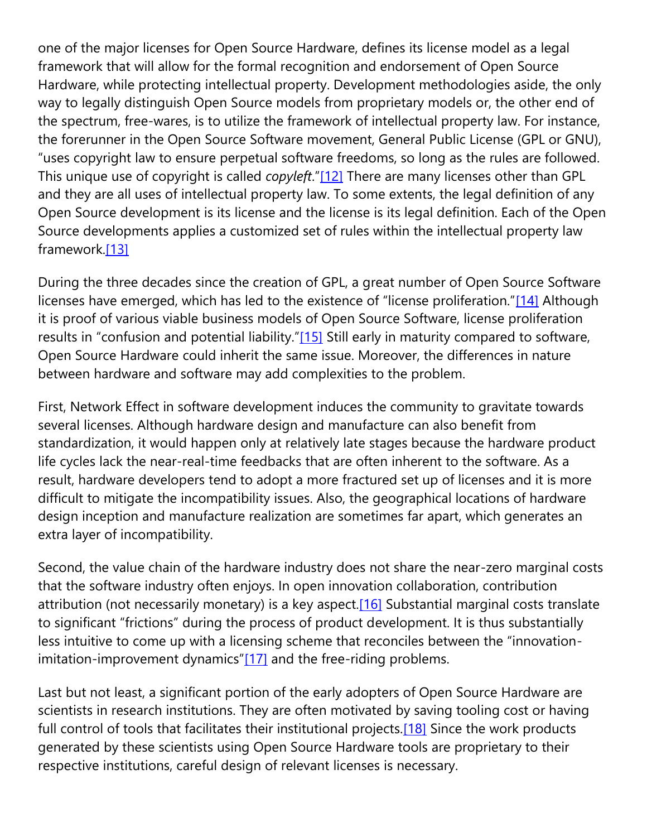one of the major licenses for Open Source Hardware, defines its license model as a legal framework that will allow for the formal recognition and endorsement of Open Source Hardware, while protecting intellectual property. Development methodologies aside, the only way to legally distinguish Open Source models from proprietary models or, the other end of the spectrum, free-wares, is to utilize the framework of intellectual property law. For instance, the forerunner in the Open Source Software movement, General Public License (GPL or GNU), "uses copyright law to ensure perpetual software freedoms, so long as the rules are followed. This unique use of copyright is called *copyleft*."[\[12\]](https://cardozoaelj.com/2019/10/27/open-sources-new-hard-problem-calls-for-standard-licenses-for-open-source-hardware/#_ftn12) There are many licenses other than GPL and they are all uses of intellectual property law. To some extents, the legal definition of any Open Source development is its license and the license is its legal definition. Each of the Open Source developments applies a customized set of rules within the intellectual property law framework[.\[13\]](https://cardozoaelj.com/2019/10/27/open-sources-new-hard-problem-calls-for-standard-licenses-for-open-source-hardware/#_ftn13)

During the three decades since the creation of GPL, a great number of Open Source Software licenses have emerged, which has led to the existence of "license proliferation."[\[14\]](https://cardozoaelj.com/2019/10/27/open-sources-new-hard-problem-calls-for-standard-licenses-for-open-source-hardware/#_ftn14) Although it is proof of various viable business models of Open Source Software, license proliferation results in "confusion and potential liability."[\[15\]](https://cardozoaelj.com/2019/10/27/open-sources-new-hard-problem-calls-for-standard-licenses-for-open-source-hardware/#_ftn15) Still early in maturity compared to software, Open Source Hardware could inherit the same issue. Moreover, the differences in nature between hardware and software may add complexities to the problem.

First, Network Effect in software development induces the community to gravitate towards several licenses. Although hardware design and manufacture can also benefit from standardization, it would happen only at relatively late stages because the hardware product life cycles lack the near-real-time feedbacks that are often inherent to the software. As a result, hardware developers tend to adopt a more fractured set up of licenses and it is more difficult to mitigate the incompatibility issues. Also, the geographical locations of hardware design inception and manufacture realization are sometimes far apart, which generates an extra layer of incompatibility.

Second, the value chain of the hardware industry does not share the near-zero marginal costs that the software industry often enjoys. In open innovation collaboration, contribution attribution (not necessarily monetary) is a key aspect[.\[16\]](https://cardozoaelj.com/2019/10/27/open-sources-new-hard-problem-calls-for-standard-licenses-for-open-source-hardware/#_ftn16) Substantial marginal costs translate to significant "frictions" during the process of product development. It is thus substantially less intuitive to come up with a licensing scheme that reconciles between the "innovation-imitation-improvement dynamics"[\[17\]](https://cardozoaelj.com/2019/10/27/open-sources-new-hard-problem-calls-for-standard-licenses-for-open-source-hardware/#_ftn17) and the free-riding problems.

Last but not least, a significant portion of the early adopters of Open Source Hardware are scientists in research institutions. They are often motivated by saving tooling cost or having full control of tools that facilitates their institutional projects.<sup>[18]</sup> Since the work products generated by these scientists using Open Source Hardware tools are proprietary to their respective institutions, careful design of relevant licenses is necessary.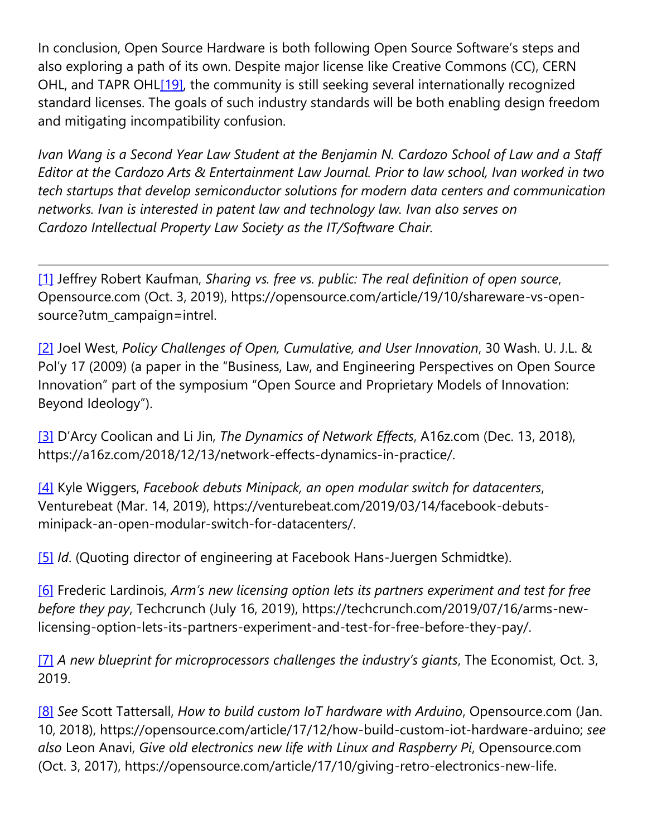In conclusion, Open Source Hardware is both following Open Source Software's steps and also exploring a path of its own. Despite major license like Creative Commons (CC), CERN OHL, and TAPR OHL<sup>[19]</sup>, the community is still seeking several internationally recognized standard licenses. The goals of such industry standards will be both enabling design freedom and mitigating incompatibility confusion.

*Ivan Wang is a Second Year Law Student at the Benjamin N. Cardozo School of Law and a Staff Editor at the Cardozo Arts & Entertainment Law Journal. Prior to law school, Ivan worked in two tech startups that develop semiconductor solutions for modern data centers and communication networks. Ivan is interested in patent law and technology law. Ivan also serves on Cardozo Intellectual Property Law Society as the IT/Software Chair.*

[\[1\]](https://cardozoaelj.com/2019/10/27/open-sources-new-hard-problem-calls-for-standard-licenses-for-open-source-hardware/#_ftnref1) Jeffrey Robert Kaufman, *Sharing vs. free vs. public: The real definition of open source*, Opensource.com (Oct. 3, 2019), https://opensource.com/article/19/10/shareware-vs-opensource?utm\_campaign=intrel.

[\[2\]](https://cardozoaelj.com/2019/10/27/open-sources-new-hard-problem-calls-for-standard-licenses-for-open-source-hardware/#_ftnref2) Joel West, *Policy Challenges of Open, Cumulative, and User Innovation*, 30 Wash. U. J.L. & Pol'y 17 (2009) (a paper in the "Business, Law, and Engineering Perspectives on Open Source Innovation" part of the symposium "Open Source and Proprietary Models of Innovation: Beyond Ideology").

[\[3\]](https://cardozoaelj.com/2019/10/27/open-sources-new-hard-problem-calls-for-standard-licenses-for-open-source-hardware/#_ftnref3) D'Arcy Coolican and Li Jin, *The Dynamics of Network Effects*, A16z.com (Dec. 13, 2018), https://a16z.com/2018/12/13/network-effects-dynamics-in-practice/.

[\[4\]](https://cardozoaelj.com/2019/10/27/open-sources-new-hard-problem-calls-for-standard-licenses-for-open-source-hardware/#_ftnref4) Kyle Wiggers, *Facebook debuts Minipack, an open modular switch for datacenters*, Venturebeat (Mar. 14, 2019), https://venturebeat.com/2019/03/14/facebook-debutsminipack-an-open-modular-switch-for-datacenters/.

[\[5\]](https://cardozoaelj.com/2019/10/27/open-sources-new-hard-problem-calls-for-standard-licenses-for-open-source-hardware/#_ftnref5) *Id.* (Quoting director of engineering at Facebook Hans-Juergen Schmidtke).

[\[6\]](https://cardozoaelj.com/2019/10/27/open-sources-new-hard-problem-calls-for-standard-licenses-for-open-source-hardware/#_ftnref6) Frederic Lardinois, *Arm's new licensing option lets its partners experiment and test for free before they pay*, Techcrunch (July 16, 2019), https://techcrunch.com/2019/07/16/arms-newlicensing-option-lets-its-partners-experiment-and-test-for-free-before-they-pay/.

[\[7\]](https://cardozoaelj.com/2019/10/27/open-sources-new-hard-problem-calls-for-standard-licenses-for-open-source-hardware/#_ftnref7) *A new blueprint for microprocessors challenges the industry's giants*, The Economist, Oct. 3, 2019.

[\[8\]](https://cardozoaelj.com/2019/10/27/open-sources-new-hard-problem-calls-for-standard-licenses-for-open-source-hardware/#_ftnref8) *See* Scott Tattersall, *How to build custom IoT hardware with Arduino*, Opensource.com (Jan. 10, 2018), https://opensource.com/article/17/12/how-build-custom-iot-hardware-arduino; *see also* Leon Anavi, *Give old electronics new life with Linux and Raspberry Pi*, Opensource.com (Oct. 3, 2017), https://opensource.com/article/17/10/giving-retro-electronics-new-life.